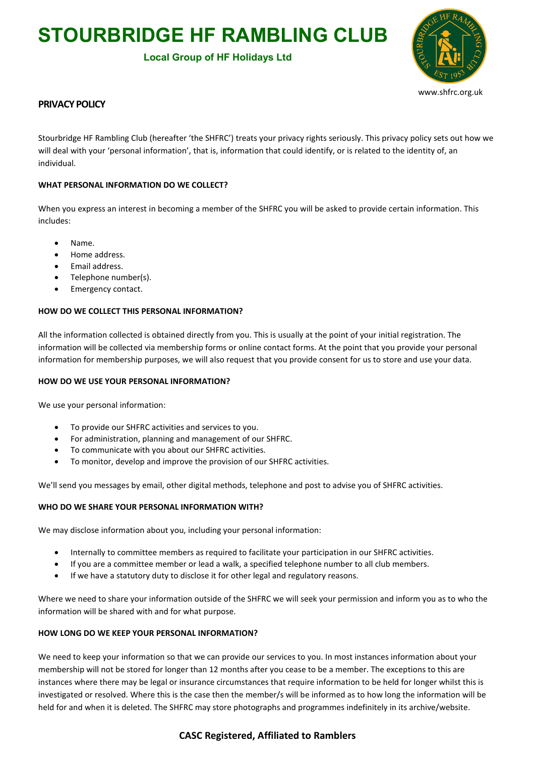# **STOURBRIDGE HF RAMBLING CLUB**

# **Local Group of HF Holidays Ltd**



### **PRIVACY POLICY**

Stourbridge HF Rambling Club (hereafter 'the SHFRC') treats your privacy rights seriously. This privacy policy sets out how we will deal with your 'personal information', that is, information that could identify, or is related to the identity of, an individual.

### **WHAT PERSONAL INFORMATION DO WE COLLECT?**

When you express an interest in becoming a member of the SHFRC you will be asked to provide certain information. This includes:

- Name.
- Home address.
- Email address.
- Telephone number(s).
- Emergency contact.

### **HOW DO WE COLLECT THIS PERSONAL INFORMATION?**

All the information collected is obtained directly from you. This is usually at the point of your initial registration. The information will be collected via membership forms or online contact forms. At the point that you provide your personal information for membership purposes, we will also request that you provide consent for us to store and use your data.

### **HOW DO WE USE YOUR PERSONAL INFORMATION?**

We use your personal information:

- To provide our SHFRC activities and services to you.
- For administration, planning and management of our SHFRC.
- To communicate with you about our SHFRC activities.
- To monitor, develop and improve the provision of our SHFRC activities.

We'll send you messages by email, other digital methods, telephone and post to advise you of SHFRC activities.

### **WHO DO WE SHARE YOUR PERSONAL INFORMATION WITH?**

We may disclose information about you, including your personal information:

- Internally to committee members as required to facilitate your participation in our SHFRC activities.
- If you are a committee member or lead a walk, a specified telephone number to all club members.
- If we have a statutory duty to disclose it for other legal and regulatory reasons.

Where we need to share your information outside of the SHFRC we will seek your permission and inform you as to who the information will be shared with and for what purpose.

### **HOW LONG DO WE KEEP YOUR PERSONAL INFORMATION?**

We need to keep your information so that we can provide our services to you. In most instances information about your membership will not be stored for longer than 12 months after you cease to be a member. The exceptions to this are instances where there may be legal or insurance circumstances that require information to be held for longer whilst this is investigated or resolved. Where this is the case then the member/s will be informed as to how long the information will be held for and when it is deleted. The SHFRC may store photographs and programmes indefinitely in its archive/website.

# **CASC Registered, Affiliated to Ramblers**